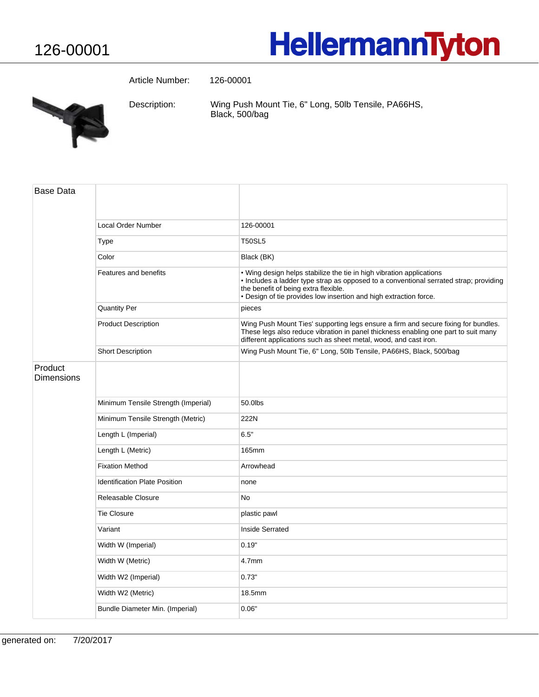## **HellermannTyton**

Article Number: 126-00001



Wing Push Mount Tie, 6" Long, 50lb Tensile, PA66HS, Black, 500/bag Description:

| Base Data             |                                      |                                                                                                                                                                                                                                                                            |
|-----------------------|--------------------------------------|----------------------------------------------------------------------------------------------------------------------------------------------------------------------------------------------------------------------------------------------------------------------------|
|                       | Local Order Number                   | 126-00001                                                                                                                                                                                                                                                                  |
|                       | Type                                 | <b>T50SL5</b>                                                                                                                                                                                                                                                              |
|                       | Color                                | Black (BK)                                                                                                                                                                                                                                                                 |
|                       | Features and benefits                | . Wing design helps stabilize the tie in high vibration applications<br>. Includes a ladder type strap as opposed to a conventional serrated strap; providing<br>the benefit of being extra flexible.<br>• Design of tie provides low insertion and high extraction force. |
|                       | <b>Quantity Per</b>                  | pieces                                                                                                                                                                                                                                                                     |
|                       | <b>Product Description</b>           | Wing Push Mount Ties' supporting legs ensure a firm and secure fixing for bundles.<br>These legs also reduce vibration in panel thickness enabling one part to suit many<br>different applications such as sheet metal, wood, and cast iron.                               |
|                       | <b>Short Description</b>             | Wing Push Mount Tie, 6" Long, 50lb Tensile, PA66HS, Black, 500/bag                                                                                                                                                                                                         |
| Product<br>Dimensions |                                      |                                                                                                                                                                                                                                                                            |
|                       | Minimum Tensile Strength (Imperial)  | 50.0lbs                                                                                                                                                                                                                                                                    |
|                       | Minimum Tensile Strength (Metric)    | 222N                                                                                                                                                                                                                                                                       |
|                       | Length L (Imperial)                  | 6.5"                                                                                                                                                                                                                                                                       |
|                       | Length L (Metric)                    | 165mm                                                                                                                                                                                                                                                                      |
|                       | <b>Fixation Method</b>               | Arrowhead                                                                                                                                                                                                                                                                  |
|                       | <b>Identification Plate Position</b> | none                                                                                                                                                                                                                                                                       |
|                       | Releasable Closure                   | <b>No</b>                                                                                                                                                                                                                                                                  |
|                       | <b>Tie Closure</b>                   | plastic pawl                                                                                                                                                                                                                                                               |
|                       | Variant                              | Inside Serrated                                                                                                                                                                                                                                                            |
|                       | Width W (Imperial)                   | 0.19"                                                                                                                                                                                                                                                                      |
|                       | Width W (Metric)                     | 4.7 <sub>mm</sub>                                                                                                                                                                                                                                                          |
|                       | Width W2 (Imperial)                  | 0.73"                                                                                                                                                                                                                                                                      |
|                       | Width W2 (Metric)                    | 18.5mm                                                                                                                                                                                                                                                                     |
|                       | Bundle Diameter Min. (Imperial)      | 0.06"                                                                                                                                                                                                                                                                      |